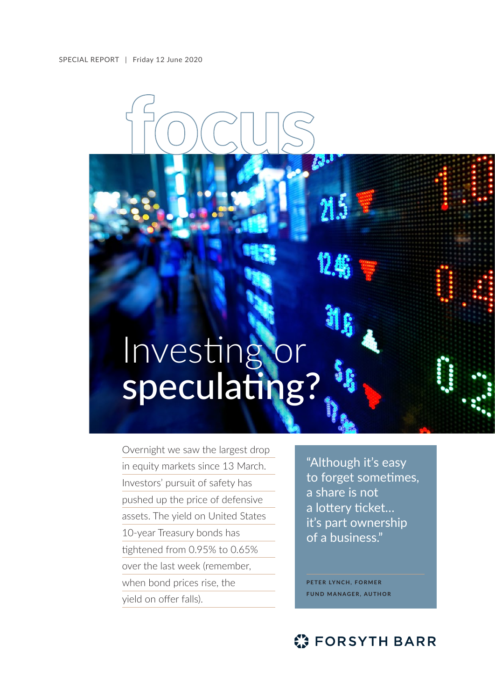## Investing or speculating?

Overnight we saw the largest drop in equity markets since 13 March. Investors' pursuit of safety has pushed up the price of defensive assets. The yield on United States 10-year Treasury bonds has tightened from 0.95% to 0.65% over the last week (remember, when bond prices rise, the yield on offer falls).

"Although it's easy to forget sometimes, a share is not a lottery ticket… it's part ownership of a business."

 $\mathcal{B}^{\mathcal{B}}$ 

**PETER LYNCH, FORMER FUND MANAGER, AUTHOR**

## **C** FORSYTH BARR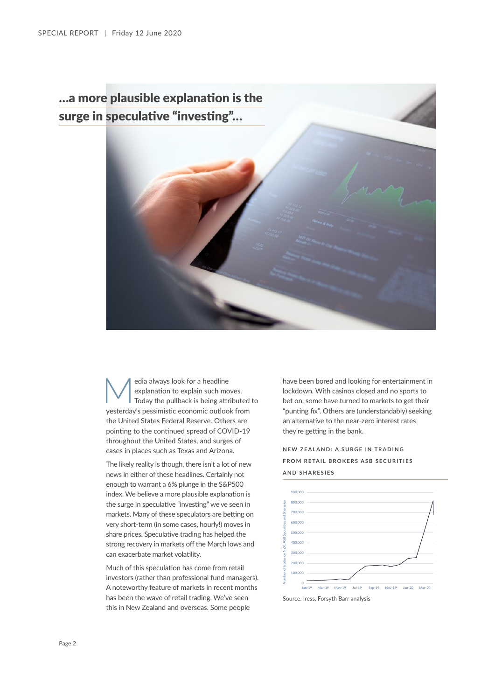## …a more plausible explanation is the surge in speculative "investing"…



edia always look for a headline<br>explanation to explain such mo<br>Today the pullback is being attractor and a properties explanation to explain such moves. Today the pullback is being attributed to yesterday's pessimistic economic outlook from the United States Federal Reserve. Others are pointing to the continued spread of COVID-19 throughout the United States, and surges of cases in places such as Texas and Arizona.

The likely reality is though, there isn't a lot of new news in either of these headlines. Certainly not enough to warrant a 6% plunge in the S&P500 index. We believe a more plausible explanation is the surge in speculative "investing" we've seen in markets. Many of these speculators are betting on very short-term (in some cases, hourly!) moves in share prices. Speculative trading has helped the strong recovery in markets off the March lows and can exacerbate market volatility.

Much of this speculation has come from retail investors (rather than professional fund managers). A noteworthy feature of markets in recent months has been the wave of retail trading. We've seen this in New Zealand and overseas. Some people

have been bored and looking for entertainment in lockdown. With casinos closed and no sports to bet on, some have turned to markets to get their "punting fix". Others are (understandably) seeking an alternative to the near-zero interest rates they're getting in the bank.

**NEW ZEALAND: A SURGE IN TRADING FROM RETAIL BROKERS ASB SECURITIES AND SHARESIES**



Source: Iress, Forsyth Barr analysis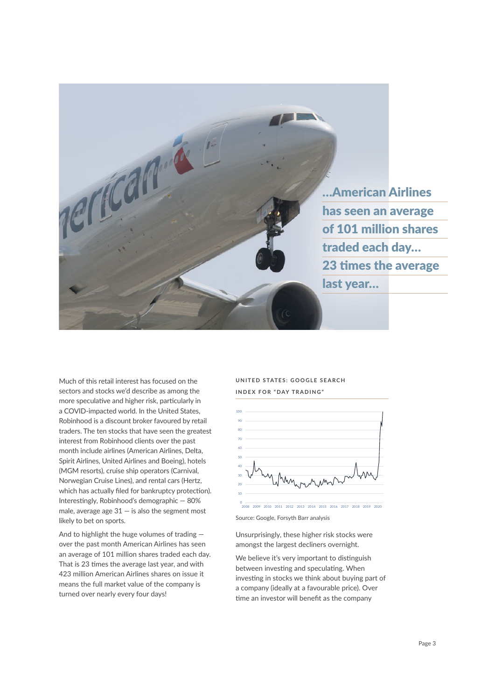

Much of this retail interest has focused on the sectors and stocks we'd describe as among the more speculative and higher risk, particularly in a COVID-impacted world. In the United States, Robinhood is a discount broker favoured by retail traders. The ten stocks that have seen the greatest interest from Robinhood clients over the past month include airlines (American Airlines, Delta, Spirit Airlines, United Airlines and Boeing), hotels (MGM resorts), cruise ship operators (Carnival, Norwegian Cruise Lines), and rental cars (Hertz, which has actually filed for bankruptcy protection). Interestingly, Robinhood's demographic — 80% male, average age  $31 -$  is also the segment most likely to bet on sports.

And to highlight the huge volumes of trading over the past month American Airlines has seen an average of 101 million shares traded each day. That is 23 times the average last year, and with 423 million American Airlines shares on issue it means the full market value of the company is turned over nearly every four days!

**UNITED STATES: GOOGLE SEARCH INDEX FOR "DAY TRADING"**



Source: Google, Forsyth Barr analysis

Unsurprisingly, these higher risk stocks were amongst the largest decliners overnight.

We believe it's very important to distinguish between investing and speculating. When investing in stocks we think about buying part of a company (ideally at a favourable price). Over time an investor will benefit as the company